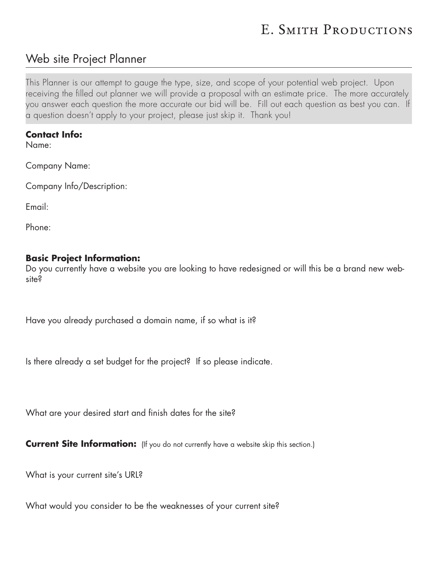# E. SMITH PRODUCTIONS

# Web site Project Planner

This Planner is our attempt to gauge the type, size, and scope of your potential web project. Upon receiving the filled out planner we will provide a proposal with an estimate price. The more accurately you answer each question the more accurate our bid will be. Fill out each question as best you can. If a question doesn't apply to your project, please just skip it. Thank you!

#### **Contact Info:**

Name:

Company Name:

Company Info/Description:

Email:

Phone:

#### **Basic Project Information:**

Do you currently have a website you are looking to have redesigned or will this be a brand new website?

Have you already purchased a domain name, if so what is it?

Is there already a set budget for the project? If so please indicate.

What are your desired start and finish dates for the site?

**Current Site Information:** (If you do not currently have a website skip this section.)

What is your current site's URL?

What would you consider to be the weaknesses of your current site?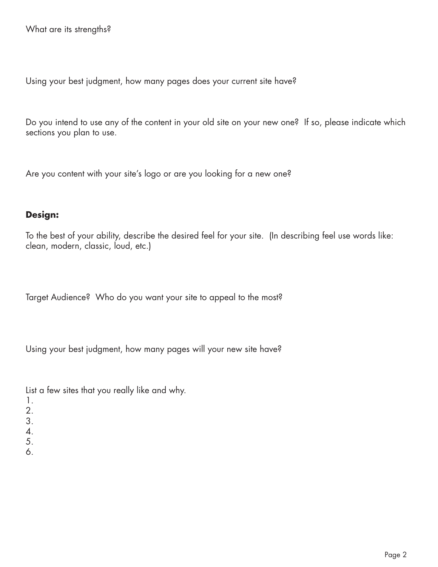Using your best judgment, how many pages does your current site have?

Do you intend to use any of the content in your old site on your new one? If so, please indicate which sections you plan to use.

Are you content with your site's logo or are you looking for a new one?

#### **Design:**

To the best of your ability, describe the desired feel for your site. (In describing feel use words like: clean, modern, classic, loud, etc.)

Target Audience? Who do you want your site to appeal to the most?

Using your best judgment, how many pages will your new site have?

List a few sites that you really like and why.

- 1.
- 2.
- 3.
- 4.
- 5.
- 6.